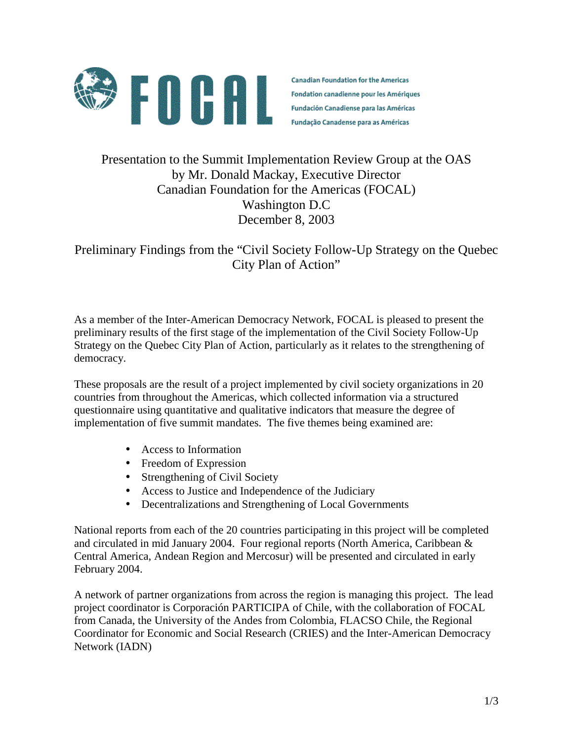

**Canadian Foundation for the Americas** Fondation canadienne pour les Amériques **Fundación Canadiense para las Américas** Fundação Canadense para as Américas

# Presentation to the Summit Implementation Review Group at the OAS by Mr. Donald Mackay, Executive Director Canadian Foundation for the Americas (FOCAL) Washington D.C December 8, 2003

Preliminary Findings from the "Civil Society Follow-Up Strategy on the Quebec City Plan of Action"

As a member of the Inter-American Democracy Network, FOCAL is pleased to present the preliminary results of the first stage of the implementation of the Civil Society Follow-Up Strategy on the Quebec City Plan of Action, particularly as it relates to the strengthening of democracy.

These proposals are the result of a project implemented by civil society organizations in 20 countries from throughout the Americas, which collected information via a structured questionnaire using quantitative and qualitative indicators that measure the degree of implementation of five summit mandates. The five themes being examined are:

- Access to Information
- Freedom of Expression
- Strengthening of Civil Society
- Access to Justice and Independence of the Judiciary
- Decentralizations and Strengthening of Local Governments

National reports from each of the 20 countries participating in this project will be completed and circulated in mid January 2004. Four regional reports (North America, Caribbean & Central America, Andean Region and Mercosur) will be presented and circulated in early February 2004.

A network of partner organizations from across the region is managing this project. The lead project coordinator is Corporación PARTICIPA of Chile, with the collaboration of FOCAL from Canada, the University of the Andes from Colombia, FLACSO Chile, the Regional Coordinator for Economic and Social Research (CRIES) and the Inter-American Democracy Network (IADN)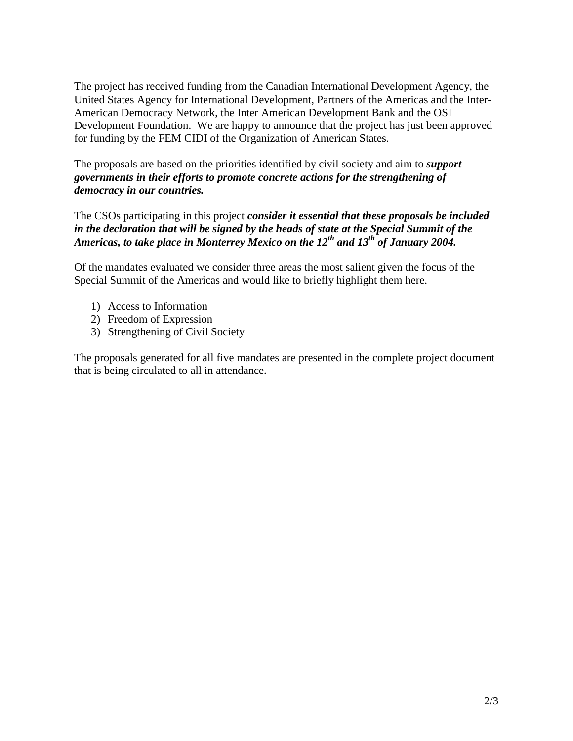The project has received funding from the Canadian International Development Agency, the United States Agency for International Development, Partners of the Americas and the Inter-American Democracy Network, the Inter American Development Bank and the OSI Development Foundation. We are happy to announce that the project has just been approved for funding by the FEM CIDI of the Organization of American States.

The proposals are based on the priorities identified by civil society and aim to *support governments in their efforts to promote concrete actions for the strengthening of democracy in our countries.*

The CSOs participating in this project *consider it essential that these proposals be included in the declaration that will be signed by the heads of state at the Special Summit of the Americas, to take place in Monterrey Mexico on the 12th and 13th of January 2004.* 

Of the mandates evaluated we consider three areas the most salient given the focus of the Special Summit of the Americas and would like to briefly highlight them here.

- 1) Access to Information
- 2) Freedom of Expression
- 3) Strengthening of Civil Society

The proposals generated for all five mandates are presented in the complete project document that is being circulated to all in attendance.